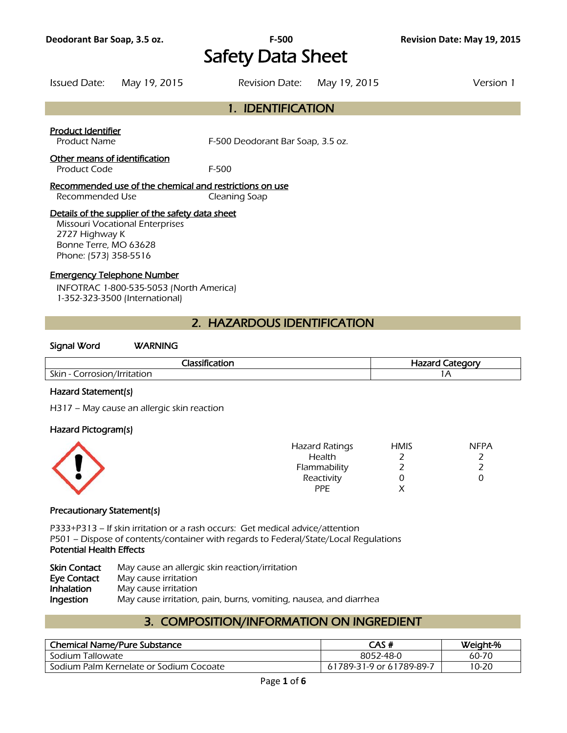# **Deodorant Bar Soap, 3.5 oz. F-500 Revision Date: May 19, 2015** Safety Data Sheet

Issued Date: May 19, 2015 Revision Date: May 19, 2015 Version 1

### 1. IDENTIFICATION

#### Product Identifier

Product Name F-500 Deodorant Bar Soap, 3.5 oz.

### Other means of identification

Product Code F-500

#### Recommended use of the chemical and restrictions on use Recommended Use Cleaning Soap

### Details of the supplier of the safety data sheet

Missouri Vocational Enterprises 2727 Highway K Bonne Terre, MO 63628 Phone: (573) 358-5516

#### Emergency Telephone Number

INFOTRAC 1-800-535-5053 (North America) 1-352-323-3500 (International)

### 2. HAZARDOUS IDENTIFICATION

#### Signal Word WARNING

| .<br>-ld                                                         | Hazarc<br><b>חממי</b><br>- |
|------------------------------------------------------------------|----------------------------|
| Skin -<br>$\frac{1}{2}$<br>. /   www. + - - - - - -<br>าrr<br>OH | $\sqrt{ }$                 |
|                                                                  |                            |

### Hazard Statement(s)

H317 – May cause an allergic skin reaction

#### Hazard Pictogram(s)

| <b>Hazard Ratings</b> | <b>HMIS</b> | <b>NFPA</b> |
|-----------------------|-------------|-------------|
| Health                |             |             |
| Flammability          |             |             |
| Reactivity            |             |             |
| <b>PPE</b>            |             |             |
|                       |             |             |

### Precautionary Statement(s)

P333+P313 – If skin irritation or a rash occurs: Get medical advice/attention P501 – Dispose of contents/container with regards to Federal/State/Local Regulations Potential Health Effects

| <b>Skin Contact</b> | May cause an allergic skin reaction/irritation                    |
|---------------------|-------------------------------------------------------------------|
| Eye Contact         | May cause irritation                                              |
| <b>Inhalation</b>   | May cause irritation                                              |
| Ingestion           | May cause irritation, pain, burns, vomiting, nausea, and diarrhea |

# 3. COMPOSITION/INFORMATION ON INGREDIENT

| <b>Chemical Name/Pure Substance</b>     | CAS #                    | Weight-% |
|-----------------------------------------|--------------------------|----------|
| Sodium Tallowate                        | 8052-48-0                | 60-70    |
| Sodium Palm Kernelate or Sodium Cocoate | 61789-31-9 or 61789-89-7 | 10-20    |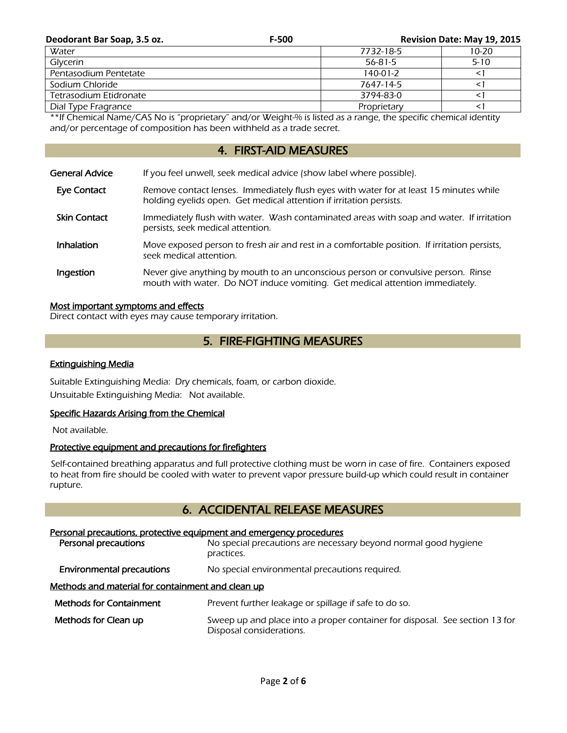| Deodorant Bar Soap, 3.5 oz. | F-500 |                | Revision Date: May 19, 2015 |
|-----------------------------|-------|----------------|-----------------------------|
| Water                       |       | 7732-18-5      | 10-20                       |
| Glycerin                    |       | $56 - 81 - 5$  | $5 - 10$                    |
| Pentasodium Pentetate       |       | $140 - 01 - 2$ |                             |
| Sodium Chloride             |       | 7647-14-5      |                             |
| Tetrasodium Etidronate      |       | 3794-83-0      |                             |
| Dial Type Fragrance         |       | Proprietary    |                             |

\*\*If Chemical Name/CAS No is "proprietary" and/or Weight-% is listed as a range, the specific chemical identity and/or percentage of composition has been withheld as a trade secret.

# 4. FIRST-AID MEASURES

| General Advice      | If you feel unwell, seek medical advice (show label where possible).                                                                                              |
|---------------------|-------------------------------------------------------------------------------------------------------------------------------------------------------------------|
| Eye Contact         | Remove contact lenses. Immediately flush eyes with water for at least 15 minutes while<br>holding eyelids open. Get medical attention if irritation persists.     |
| <b>Skin Contact</b> | Immediately flush with water. Wash contaminated areas with soap and water. If irritation<br>persists, seek medical attention.                                     |
| <b>Inhalation</b>   | Move exposed person to fresh air and rest in a comfortable position. If irritation persists,<br>seek medical attention.                                           |
| Ingestion           | Never give anything by mouth to an unconscious person or convulsive person. Rinse<br>mouth with water. Do NOT induce vomiting. Get medical attention immediately. |

### Most important symptoms and effects

Direct contact with eyes may cause temporary irritation.

# 5. FIRE-FIGHTING MEASURES

### Extinguishing Media

Suitable Extinguishing Media: Dry chemicals, foam, or carbon dioxide. Unsuitable Extinguishing Media: Not available.

### Specific Hazards Arising from the Chemical

Not available.

### Protective equipment and precautions for firefighters

 Self-contained breathing apparatus and full protective clothing must be worn in case of fire. Containers exposed to heat from fire should be cooled with water to prevent vapor pressure build-up which could result in container rupture.

# 6. ACCIDENTAL RELEASE MEASURES

# Personal precautions, protective equipment and emergency procedures **Personal precautions** No special precautions are necessary beyond normal good hygiene practices. **Environmental precautions** No special environmental precautions required. Methods and material for containment and clean up Methods for Containment Prevent further leakage or spillage if safe to do so. Methods for Clean up Sweep up and place into a proper container for disposal. See section 13 for Disposal considerations.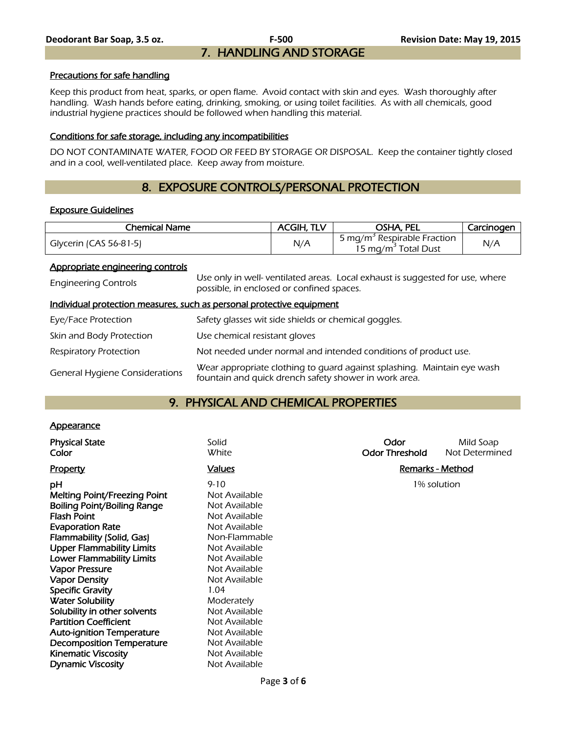#### Precautions for safe handling

Keep this product from heat, sparks, or open flame. Avoid contact with skin and eyes. Wash thoroughly after handling. Wash hands before eating, drinking, smoking, or using toilet facilities. As with all chemicals, good industrial hygiene practices should be followed when handling this material.

#### Conditions for safe storage, including any incompatibilities

DO NOT CONTAMINATE WATER, FOOD OR FEED BY STORAGE OR DISPOSAL. Keep the container tightly closed and in a cool, well-ventilated place. Keep away from moisture.

# 8. EXPOSURE CONTROLS/PERSONAL PROTECTION

#### Exposure Guidelines

| Chemical Name          | <b>ACGIH, TLV</b> | OSHA, PEL                                                                  | Carcinogen |
|------------------------|-------------------|----------------------------------------------------------------------------|------------|
| Glycerin (CAS 56-81-5) | N/A               | 5 mg/m <sup>3</sup> Respirable Fraction<br>15 mg/m <sup>2</sup> Total Dust | N/A        |

#### Appropriate engineering controls

| <b>Engineering Controls</b>           | Use only in well- ventilated areas. Local exhaust is suggested for use, where<br>possible, in enclosed or confined spaces.       |
|---------------------------------------|----------------------------------------------------------------------------------------------------------------------------------|
|                                       | Individual protection measures, such as personal protective equipment                                                            |
| Eye/Face Protection                   | Safety glasses wit side shields or chemical goggles.                                                                             |
| Skin and Body Protection              | Use chemical resistant gloves                                                                                                    |
| <b>Respiratory Protection</b>         | Not needed under normal and intended conditions of product use.                                                                  |
| <b>General Hygiene Considerations</b> | Wear appropriate clothing to guard against splashing. Maintain eye wash<br>fountain and quick drench safety shower in work area. |

## 9. PHYSICAL AND CHEMICAL PROPERTIES

### **Appearance**

| <b>Physical State</b><br>Color                                                                                                                                                                                                                                                                                                                                                                 | Solid<br>White                                                                                                                                                                                                            | Odor<br><b>Odor Threshold</b> | Mild Soap<br>Not Determined |
|------------------------------------------------------------------------------------------------------------------------------------------------------------------------------------------------------------------------------------------------------------------------------------------------------------------------------------------------------------------------------------------------|---------------------------------------------------------------------------------------------------------------------------------------------------------------------------------------------------------------------------|-------------------------------|-----------------------------|
| <b>Property</b>                                                                                                                                                                                                                                                                                                                                                                                | <b>Values</b>                                                                                                                                                                                                             |                               | Remarks - Method            |
| рH<br>Melting Point/Freezing Point<br>Boiling Point/Boiling Range<br><b>Flash Point</b><br><b>Evaporation Rate</b><br>Flammability (Solid, Gas)<br><b>Upper Flammability Limits</b><br><b>Lower Flammability Limits</b><br><b>Vapor Pressure</b><br><b>Vapor Density</b><br><b>Specific Gravity</b><br><b>Water Solubility</b><br>Solubility in other solvents<br><b>Partition Coefficient</b> | $9 - 10$<br>Not Available<br>Not Available<br>Not Available<br>Not Available<br>Non-Flammable<br>Not Available<br>Not Available<br>Not Available<br>Not Available<br>1.04<br>Moderately<br>Not Available<br>Not Available |                               | 1% solution                 |
| <b>Auto-ignition Temperature</b>                                                                                                                                                                                                                                                                                                                                                               | Not Available                                                                                                                                                                                                             |                               |                             |
| <b>Decomposition Temperature</b>                                                                                                                                                                                                                                                                                                                                                               | Not Available                                                                                                                                                                                                             |                               |                             |
| <b>Kinematic Viscosity</b>                                                                                                                                                                                                                                                                                                                                                                     | Not Available                                                                                                                                                                                                             |                               |                             |
| <b>Dynamic Viscosity</b>                                                                                                                                                                                                                                                                                                                                                                       | Not Available                                                                                                                                                                                                             |                               |                             |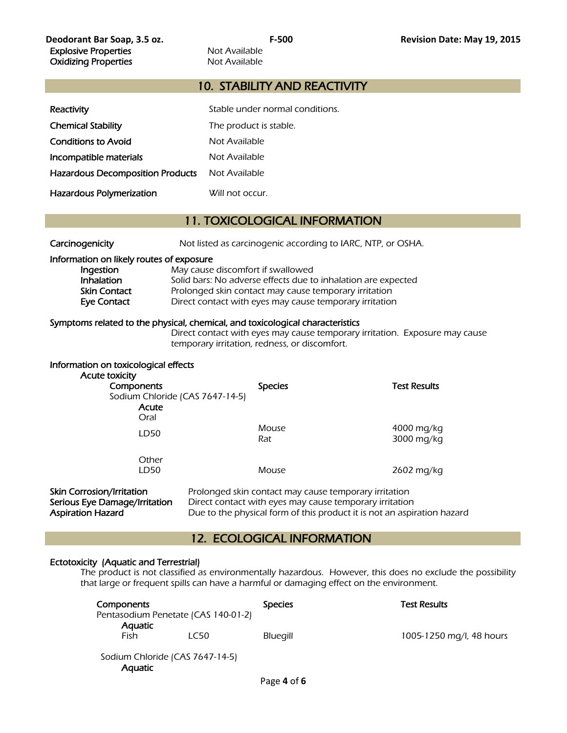### 10. STABILITY AND REACTIVITY

| Reactivity                              | Stable under normal conditions. |
|-----------------------------------------|---------------------------------|
| <b>Chemical Stability</b>               | The product is stable.          |
| <b>Conditions to Avoid</b>              | Not Available                   |
| Incompatible materials                  | Not Available                   |
| <b>Hazardous Decomposition Products</b> | Not Available                   |
| Hazardous Polymerization                | Will not occur.                 |

### 11. TOXICOLOGICAL INFORMATION

| Carcinogenicity |  |
|-----------------|--|
|                 |  |

Not listed as carcinogenic according to IARC, NTP, or OSHA.

#### Information on likely routes of exposure

| Ingestion    | May cause discomfort if swallowed                             |
|--------------|---------------------------------------------------------------|
| Inhalation   | Solid bars: No adverse effects due to inhalation are expected |
| Skin Contact | Prolonged skin contact may cause temporary irritation         |
| Eye Contact  | Direct contact with eyes may cause temporary irritation       |

#### Symptoms related to the physical, chemical, and toxicological characteristics

 Direct contact with eyes may cause temporary irritation. Exposure may cause temporary irritation, redness, or discomfort.

| Information on toxicological effects<br>Acute toxicity<br>Components<br>Sodium Chloride (CAS 7647-14-5)<br>Acute | <b>Species</b>                                        | <b>Test Results</b>      |
|------------------------------------------------------------------------------------------------------------------|-------------------------------------------------------|--------------------------|
| Oral<br>LD50                                                                                                     | Mouse<br>Rat                                          | 4000 mg/kg<br>3000 mg/kg |
| Other<br>LD50                                                                                                    | Mouse                                                 | 2602 mg/kg               |
| <b>Skin Corrosion/Irritation</b>                                                                                 | Prolonged skin contact may cause temporary irritation |                          |

Serious Eye Damage/Irritation Direct contact with eyes may cause temporary irritation Aspiration Hazard **Due to the physical form of this product** it is not an aspiration hazard

### 12. ECOLOGICAL INFORMATION

### Ectotoxicity (Aquatic and Terrestrial)

The product is not classified as environmentally hazardous. However, this does no exclude the possibility that large or frequent spills can have a harmful or damaging effect on the environment.

| Components                          |                                 | <b>Species</b> | <b>Test Results</b>      |
|-------------------------------------|---------------------------------|----------------|--------------------------|
| Pentasodium Penetate (CAS 140-01-2) |                                 |                |                          |
| Aquatic                             |                                 |                |                          |
| Fish                                | LC50                            | Bluegill       | 1005-1250 mg/l, 48 hours |
| <b>Aquatic</b>                      | Sodium Chloride (CAS 7647-14-5) |                |                          |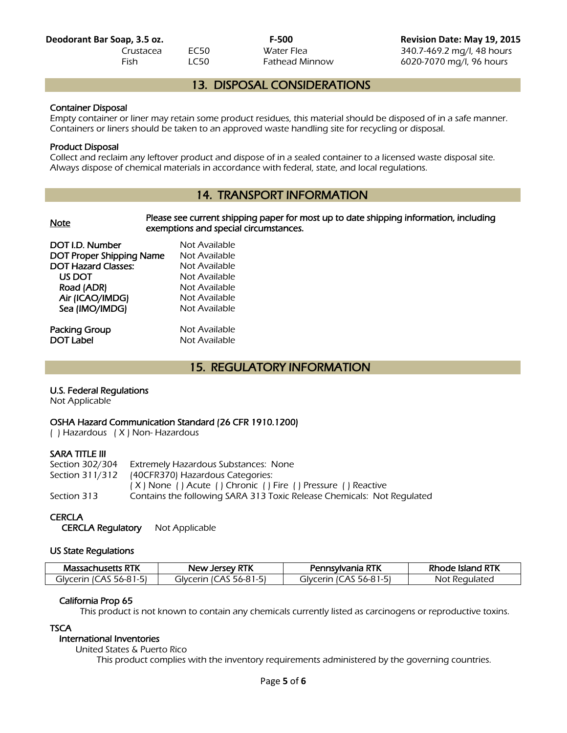**Deodorant Bar Soap, 3.5 oz. F-500 Revision Date: May 19, 2015** Crustacea EC50 Water Flea 340.7-469.2 mg/l, 48 hours Fish LC50 Fathead Minnow 6020-7070 mg/l, 96 hours

## 13. DISPOSAL CONSIDERATIONS

### Container Disposal

Empty container or liner may retain some product residues, this material should be disposed of in a safe manner. Containers or liners should be taken to an approved waste handling site for recycling or disposal.

### Product Disposal

Collect and reclaim any leftover product and dispose of in a sealed container to a licensed waste disposal site. Always dispose of chemical materials in accordance with federal, state, and local regulations.

# 14. TRANSPORT INFORMATION

| <b>Note</b>                | Please see current shipping paper for most up to date shipping information, including<br>exemptions and special circumstances. |
|----------------------------|--------------------------------------------------------------------------------------------------------------------------------|
| DOT I.D. Number            | Not Available                                                                                                                  |
| DOT Proper Shipping Name   | Not Available                                                                                                                  |
| <b>DOT Hazard Classes:</b> | Not Available                                                                                                                  |
| US DOT                     | Not Available                                                                                                                  |
| Road (ADR)                 | Not Available                                                                                                                  |
| Air (ICAO/IMDG)            | Not Available                                                                                                                  |
| Sea (IMO/IMDG)             | Not Available                                                                                                                  |
| Packing Group              | Not Available                                                                                                                  |
| <b>DOT Label</b>           | Not Available                                                                                                                  |

# 15. REGULATORY INFORMATION

### U.S. Federal Regulations

Not Applicable

### OSHA Hazard Communication Standard (26 CFR 1910.1200)

( ) Hazardous ( X ) Non- Hazardous

### SARA TITLE III

| Extremely Hazardous Substances: None                                   |
|------------------------------------------------------------------------|
| Section 311/312 (40CFR370) Hazardous Categories:                       |
| (X) None () Acute () Chronic () Fire () Pressure () Reactive           |
| Contains the following SARA 313 Toxic Release Chemicals: Not Regulated |
|                                                                        |

### **CERCLA**

CERCLA Regulatory Not Applicable

### US State Regulations

| <b>Massachusetts RTK</b>     | <b>New Jersey RTK</b>        | Pennsylvania RTK            | : Island RTK<br>one. |
|------------------------------|------------------------------|-----------------------------|----------------------|
| 56-81-51<br>cerin IC) ت<br>A | `Arır<br>، الح<br>A<br>56-81 | 56-81.<br>alvc<br>erın<br>A | t Regulated<br>Not   |

### California Prop 65

This product is not known to contain any chemicals currently listed as carcinogens or reproductive toxins.

### **TSCA**

# International Inventories

United States & Puerto Rico

This product complies with the inventory requirements administered by the governing countries.